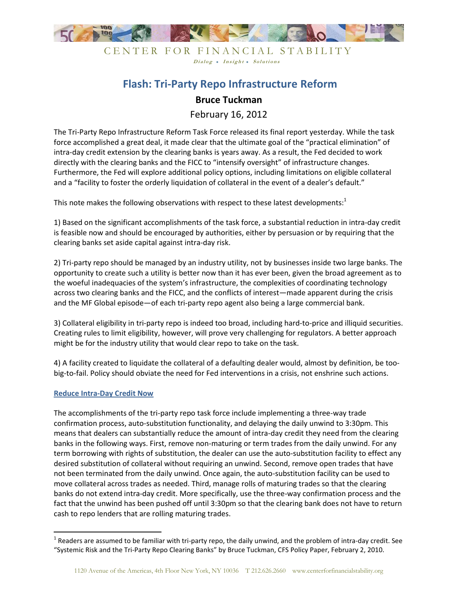

CENTER FOR FINANCIAL STABILITY Dialog • Insight • Solutions

# **Flash: Tri-Party Repo Infrastructure Reform**

# **Bruce Tuckman**

February 16, 2012

The Tri-Party Repo Infrastructure Reform Task Force released its final report yesterday. While the task force accomplished a great deal, it made clear that the ultimate goal of the "practical elimination" of intra-day credit extension by the clearing banks is years away. As a result, the Fed decided to work directly with the clearing banks and the FICC to "intensify oversight" of infrastructure changes. Furthermore, the Fed will explore additional policy options, including limitations on eligible collateral and a "facility to foster the orderly liquidation of collateral in the event of a dealer's default."

This note makes the following observations with respect to these latest developments: $1$ 

1) Based on the significant accomplishments of the task force, a substantial reduction in intra-day credit is feasible now and should be encouraged by authorities, either by persuasion or by requiring that the clearing banks set aside capital against intra-day risk.

2) Tri-party repo should be managed by an industry utility, not by businesses inside two large banks. The opportunity to create such a utility is better now than it has ever been, given the broad agreement as to the woeful inadequacies of the system's infrastructure, the complexities of coordinating technology across two clearing banks and the FICC, and the conflicts of interest—made apparent during the crisis and the MF Global episode—of each tri-party repo agent also being a large commercial bank.

3) Collateral eligibility in tri-party repo is indeed too broad, including hard-to-price and illiquid securities. Creating rules to limit eligibility, however, will prove very challenging for regulators. A better approach might be for the industry utility that would clear repo to take on the task.

4) A facility created to liquidate the collateral of a defaulting dealer would, almost by definition, be toobig-to-fail. Policy should obviate the need for Fed interventions in a crisis, not enshrine such actions.

## **Reduce Intra-Day Credit Now**

 $\overline{\phantom{a}}$ 

The accomplishments of the tri-party repo task force include implementing a three-way trade confirmation process, auto-substitution functionality, and delaying the daily unwind to 3:30pm. This means that dealers can substantially reduce the amount of intra-day credit they need from the clearing banks in the following ways. First, remove non-maturing or term trades from the daily unwind. For any term borrowing with rights of substitution, the dealer can use the auto-substitution facility to effect any desired substitution of collateral without requiring an unwind. Second, remove open trades that have not been terminated from the daily unwind. Once again, the auto-substitution facility can be used to move collateral across trades as needed. Third, manage rolls of maturing trades so that the clearing banks do not extend intra-day credit. More specifically, use the three-way confirmation process and the fact that the unwind has been pushed off until 3:30pm so that the clearing bank does not have to return cash to repo lenders that are rolling maturing trades.

<sup>&</sup>lt;sup>1</sup> Readers are assumed to be familiar with tri-party repo, the daily unwind, and the problem of intra-day credit. See "Systemic Risk and the Tri-Party Repo Clearing Banks" by Bruce Tuckman, CFS Policy Paper, February 2, 2010.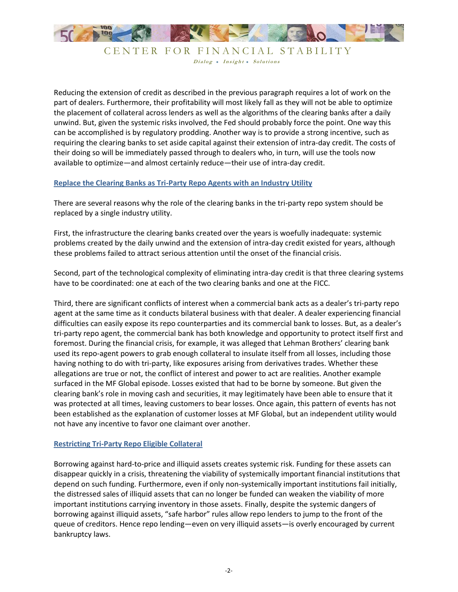

CENTER FOR FINANCIAL STABILITY Dialog • Insight • Solutions

Reducing the extension of credit as described in the previous paragraph requires a lot of work on the part of dealers. Furthermore, their profitability will most likely fall as they will not be able to optimize the placement of collateral across lenders as well as the algorithms of the clearing banks after a daily unwind. But, given the systemic risks involved, the Fed should probably force the point. One way this can be accomplished is by regulatory prodding. Another way is to provide a strong incentive, such as requiring the clearing banks to set aside capital against their extension of intra-day credit. The costs of their doing so will be immediately passed through to dealers who, in turn, will use the tools now available to optimize—and almost certainly reduce—their use of intra-day credit.

#### **Replace the Clearing Banks as Tri-Party Repo Agents with an Industry Utility**

There are several reasons why the role of the clearing banks in the tri-party repo system should be replaced by a single industry utility.

First, the infrastructure the clearing banks created over the years is woefully inadequate: systemic problems created by the daily unwind and the extension of intra-day credit existed for years, although these problems failed to attract serious attention until the onset of the financial crisis.

Second, part of the technological complexity of eliminating intra-day credit is that three clearing systems have to be coordinated: one at each of the two clearing banks and one at the FICC.

Third, there are significant conflicts of interest when a commercial bank acts as a dealer's tri-party repo agent at the same time as it conducts bilateral business with that dealer. A dealer experiencing financial difficulties can easily expose its repo counterparties and its commercial bank to losses. But, as a dealer's tri-party repo agent, the commercial bank has both knowledge and opportunity to protect itself first and foremost. During the financial crisis, for example, it was alleged that Lehman Brothers' clearing bank used its repo-agent powers to grab enough collateral to insulate itself from all losses, including those having nothing to do with tri-party, like exposures arising from derivatives trades. Whether these allegations are true or not, the conflict of interest and power to act are realities. Another example surfaced in the MF Global episode. Losses existed that had to be borne by someone. But given the clearing bank's role in moving cash and securities, it may legitimately have been able to ensure that it was protected at all times, leaving customers to bear losses. Once again, this pattern of events has not been established as the explanation of customer losses at MF Global, but an independent utility would not have any incentive to favor one claimant over another.

## **Restricting Tri-Party Repo Eligible Collateral**

Borrowing against hard-to-price and illiquid assets creates systemic risk. Funding for these assets can disappear quickly in a crisis, threatening the viability of systemically important financial institutions that depend on such funding. Furthermore, even if only non-systemically important institutions fail initially, the distressed sales of illiquid assets that can no longer be funded can weaken the viability of more important institutions carrying inventory in those assets. Finally, despite the systemic dangers of borrowing against illiquid assets, "safe harbor" rules allow repo lenders to jump to the front of the queue of creditors. Hence repo lending—even on very illiquid assets—is overly encouraged by current bankruptcy laws.